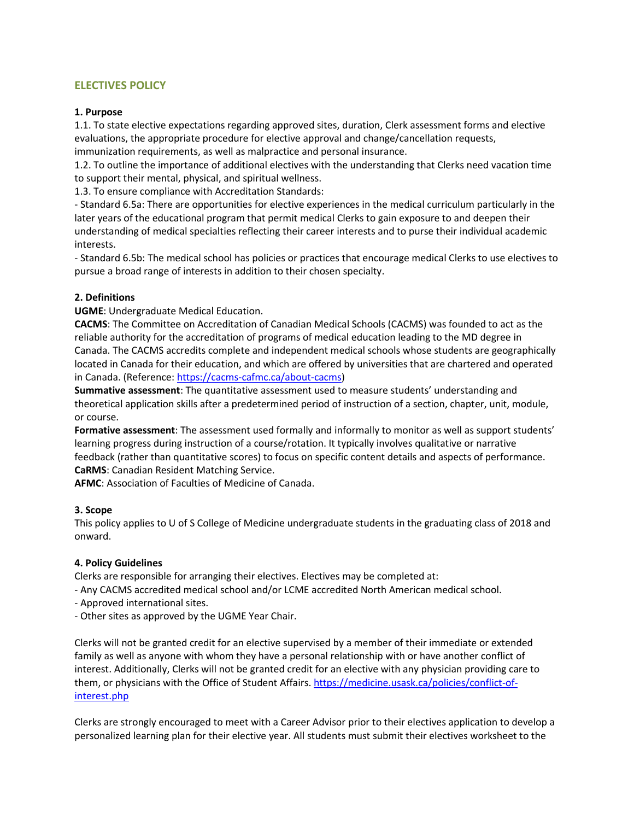# **ELECTIVES POLICY**

### **1. Purpose**

1.1. To state elective expectations regarding approved sites, duration, Clerk assessment forms and elective evaluations, the appropriate procedure for elective approval and change/cancellation requests,

immunization requirements, as well as malpractice and personal insurance.

1.2. To outline the importance of additional electives with the understanding that Clerks need vacation time to support their mental, physical, and spiritual wellness.

1.3. To ensure compliance with Accreditation Standards:

- Standard 6.5a: There are opportunities for elective experiences in the medical curriculum particularly in the later years of the educational program that permit medical Clerks to gain exposure to and deepen their understanding of medical specialties reflecting their career interests and to purse their individual academic interests.

- Standard 6.5b: The medical school has policies or practices that encourage medical Clerks to use electives to pursue a broad range of interests in addition to their chosen specialty.

## **2. Definitions**

**UGME**: Undergraduate Medical Education.

**CACMS**: The Committee on Accreditation of Canadian Medical Schools (CACMS) was founded to act as the reliable authority for the accreditation of programs of medical education leading to the MD degree in Canada. The CACMS accredits complete and independent medical schools whose students are geographically located in Canada for their education, and which are offered by universities that are chartered and operated in Canada. (Reference: [https://cacms-cafmc.ca/about-cacms\)](https://cacms-cafmc.ca/about-cacms)

**Summative assessment**: The quantitative assessment used to measure students' understanding and theoretical application skills after a predetermined period of instruction of a section, chapter, unit, module, or course.

**Formative assessment**: The assessment used formally and informally to monitor as well as support students' learning progress during instruction of a course/rotation. It typically involves qualitative or narrative feedback (rather than quantitative scores) to focus on specific content details and aspects of performance. **CaRMS**: Canadian Resident Matching Service.

**AFMC**: Association of Faculties of Medicine of Canada.

### **3. Scope**

This policy applies to U of S College of Medicine undergraduate students in the graduating class of 2018 and onward.

### **4. Policy Guidelines**

Clerks are responsible for arranging their electives. Electives may be completed at:

- Any CACMS accredited medical school and/or LCME accredited North American medical school.

- Approved international sites.

- Other sites as approved by the UGME Year Chair.

Clerks will not be granted credit for an elective supervised by a member of their immediate or extended family as well as anyone with whom they have a personal relationship with or have another conflict of interest. Additionally, Clerks will not be granted credit for an elective with any physician providing care to them, or physicians with the Office of Student Affairs. [https://medicine.usask.ca/policies/conflict-of](https://medicine.usask.ca/policies/conflict-of-interest.php)[interest.php](https://medicine.usask.ca/policies/conflict-of-interest.php) 

Clerks are strongly encouraged to meet with a Career Advisor prior to their electives application to develop a personalized learning plan for their elective year. All students must submit their electives worksheet to the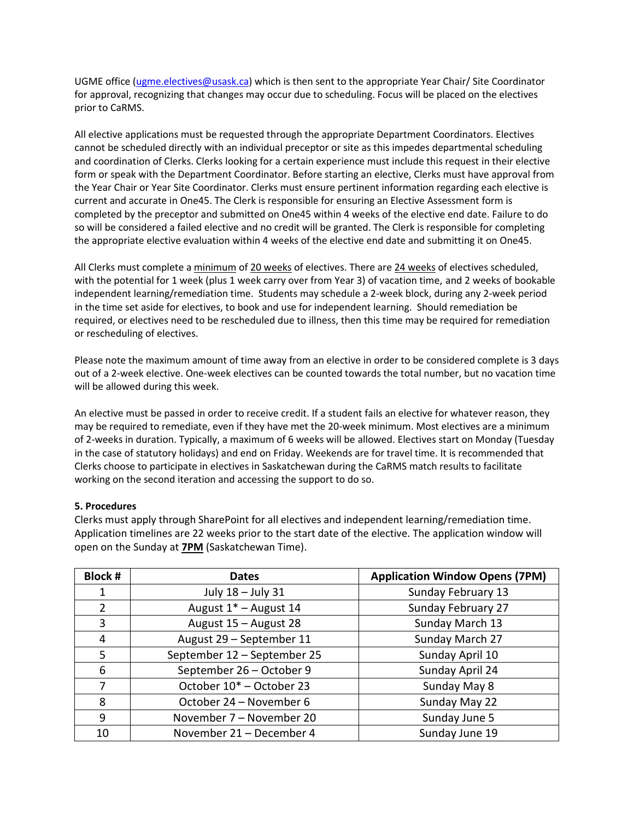UGME office [\(ugme.electives@usask.ca\)](mailto:ugme.electives@usask.ca) which is then sent to the appropriate Year Chair/ Site Coordinator for approval, recognizing that changes may occur due to scheduling. Focus will be placed on the electives prior to CaRMS.

All elective applications must be requested through the appropriate Department Coordinators. Electives cannot be scheduled directly with an individual preceptor or site as this impedes departmental scheduling and coordination of Clerks. Clerks looking for a certain experience must include this request in their elective form or speak with the Department Coordinator. Before starting an elective, Clerks must have approval from the Year Chair or Year Site Coordinator. Clerks must ensure pertinent information regarding each elective is current and accurate in One45. The Clerk is responsible for ensuring an Elective Assessment form is completed by the preceptor and submitted on One45 within 4 weeks of the elective end date. Failure to do so will be considered a failed elective and no credit will be granted. The Clerk is responsible for completing the appropriate elective evaluation within 4 weeks of the elective end date and submitting it on One45.

All Clerks must complete a minimum of 20 weeks of electives. There are 24 weeks of electives scheduled, with the potential for 1 week (plus 1 week carry over from Year 3) of vacation time, and 2 weeks of bookable independent learning/remediation time. Students may schedule a 2-week block, during any 2-week period in the time set aside for electives, to book and use for independent learning. Should remediation be required, or electives need to be rescheduled due to illness, then this time may be required for remediation or rescheduling of electives.

Please note the maximum amount of time away from an elective in order to be considered complete is 3 days out of a 2-week elective. One-week electives can be counted towards the total number, but no vacation time will be allowed during this week.

An elective must be passed in order to receive credit. If a student fails an elective for whatever reason, they may be required to remediate, even if they have met the 20-week minimum. Most electives are a minimum of 2-weeks in duration. Typically, a maximum of 6 weeks will be allowed. Electives start on Monday (Tuesday in the case of statutory holidays) and end on Friday. Weekends are for travel time. It is recommended that Clerks choose to participate in electives in Saskatchewan during the CaRMS match results to facilitate working on the second iteration and accessing the support to do so.

## **5. Procedures**

Clerks must apply through SharePoint for all electives and independent learning/remediation time. Application timelines are 22 weeks prior to the start date of the elective. The application window will open on the Sunday at **7PM** (Saskatchewan Time).

| <b>Block #</b> | <b>Dates</b>                         | <b>Application Window Opens (7PM)</b> |
|----------------|--------------------------------------|---------------------------------------|
| 1              | July 18 - July 31                    | Sunday February 13                    |
| $\overline{2}$ | August 1 <sup>*</sup> - August 14    | Sunday February 27                    |
| 3              | August 15 - August 28                | Sunday March 13                       |
| 4              | August 29 - September 11             | Sunday March 27                       |
| 5              | September 12 - September 25          | Sunday April 10                       |
| 6              | September 26 - October 9             | Sunday April 24                       |
| 7              | October 10 <sup>*</sup> - October 23 | Sunday May 8                          |
| 8              | October 24 – November 6              | Sunday May 22                         |
| 9              | November 7 - November 20             | Sunday June 5                         |
| 10             | November 21 - December 4             | Sunday June 19                        |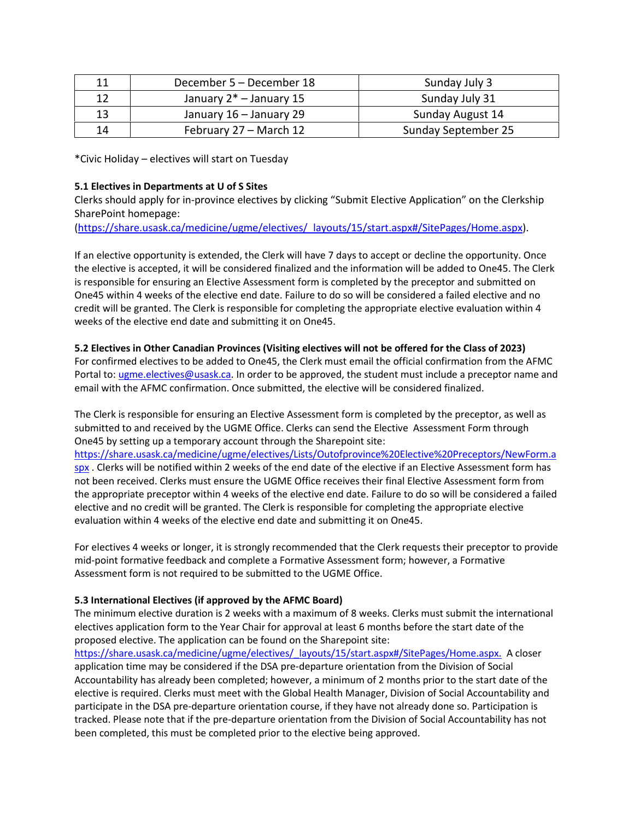| 11 | December 5 – December 18   | Sunday July 3       |
|----|----------------------------|---------------------|
| 12 | January $2^*$ – January 15 | Sunday July 31      |
| 13 | January 16 - January 29    | Sunday August 14    |
| 14 | February 27 – March 12     | Sunday September 25 |

\*Civic Holiday – electives will start on Tuesday

## **5.1 Electives in Departments at U of S Sites**

Clerks should apply for in-province electives by clicking "Submit Elective Application" on the Clerkship SharePoint homepage:

[\(https://share.usask.ca/medicine/ugme/electives/\\_layouts/15/start.aspx#/SitePages/Home.aspx\)](https://share.usask.ca/medicine/ugme/electives/_layouts/15/start.aspx#/SitePages/Home.aspx).

If an elective opportunity is extended, the Clerk will have 7 days to accept or decline the opportunity. Once the elective is accepted, it will be considered finalized and the information will be added to One45. The Clerk is responsible for ensuring an Elective Assessment form is completed by the preceptor and submitted on One45 within 4 weeks of the elective end date. Failure to do so will be considered a failed elective and no credit will be granted. The Clerk is responsible for completing the appropriate elective evaluation within 4 weeks of the elective end date and submitting it on One45.

## **5.2 Electives in Other Canadian Provinces (Visiting electives will not be offered for the Class of 2023)**

For confirmed electives to be added to One45, the Clerk must email the official confirmation from the AFMC Portal to: [ugme.electives@usask.ca.](mailto:ugme.electives@usask.ca) In order to be approved, the student must include a preceptor name and email with the AFMC confirmation. Once submitted, the elective will be considered finalized.

The Clerk is responsible for ensuring an Elective Assessment form is completed by the preceptor, as well as submitted to and received by the UGME Office. Clerks can send the Elective Assessment Form through One45 by setting up a temporary account through the Sharepoint site:

[https://share.usask.ca/medicine/ugme/electives/Lists/Outofprovince%20Elective%20Preceptors/NewForm.a](https://share.usask.ca/medicine/ugme/electives/Lists/Outofprovince%20Elective%20Preceptors/NewForm.aspx) spx. Clerks will be notified within 2 weeks of the end date of the elective if an Elective Assessment form has not been received. Clerks must ensure the UGME Office receives their final Elective Assessment form from the appropriate preceptor within 4 weeks of the elective end date. Failure to do so will be considered a failed elective and no credit will be granted. The Clerk is responsible for completing the appropriate elective evaluation within 4 weeks of the elective end date and submitting it on One45.

For electives 4 weeks or longer, it is strongly recommended that the Clerk requests their preceptor to provide mid-point formative feedback and complete a Formative Assessment form; however, a Formative Assessment form is not required to be submitted to the UGME Office.

## **5.3 International Electives (if approved by the AFMC Board)**

The minimum elective duration is 2 weeks with a maximum of 8 weeks. Clerks must submit the international electives application form to the Year Chair for approval at least 6 months before the start date of the proposed elective. The application can be found on the Sharepoint site:

[https://share.usask.ca/medicine/ugme/electives/\\_layouts/15/start.aspx#/SitePages/Home.aspx.](https://share.usask.ca/medicine/ugme/electives/_layouts/15/start.aspx#/SitePages/Home.aspx) A closer application time may be considered if the DSA pre-departure orientation from the Division of Social Accountability has already been completed; however, a minimum of 2 months prior to the start date of the elective is required. Clerks must meet with the Global Health Manager, Division of Social Accountability and participate in the DSA pre-departure orientation course, if they have not already done so. Participation is tracked. Please note that if the pre-departure orientation from the Division of Social Accountability has not been completed, this must be completed prior to the elective being approved.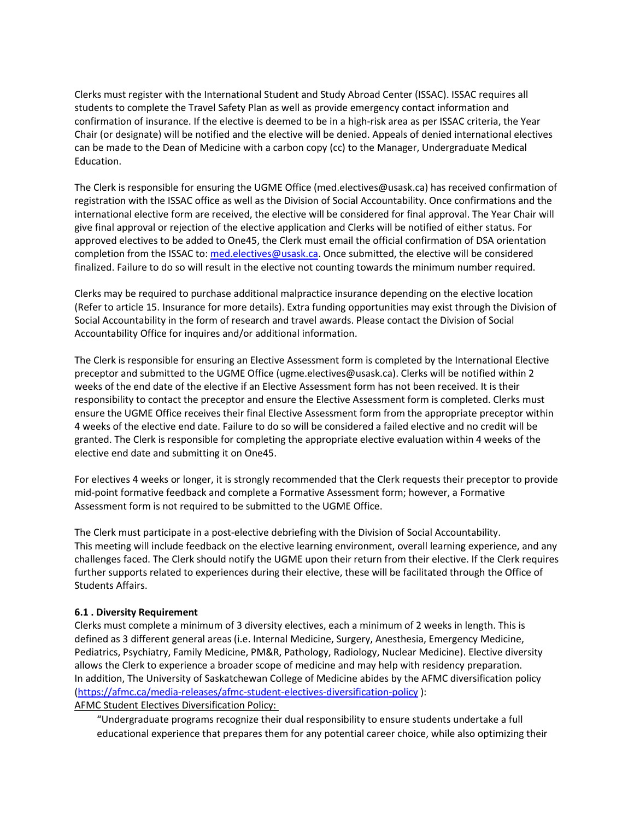Clerks must register with the International Student and Study Abroad Center (ISSAC). ISSAC requires all students to complete the Travel Safety Plan as well as provide emergency contact information and confirmation of insurance. If the elective is deemed to be in a high-risk area as per ISSAC criteria, the Year Chair (or designate) will be notified and the elective will be denied. Appeals of denied international electives can be made to the Dean of Medicine with a carbon copy (cc) to the Manager, Undergraduate Medical Education.

The Clerk is responsible for ensuring the UGME Office (med.electives@usask.ca) has received confirmation of registration with the ISSAC office as well as the Division of Social Accountability. Once confirmations and the international elective form are received, the elective will be considered for final approval. The Year Chair will give final approval or rejection of the elective application and Clerks will be notified of either status. For approved electives to be added to One45, the Clerk must email the official confirmation of DSA orientation completion from the ISSAC to: [med.electives@usask.ca.](mailto:med.electives@usask.ca) Once submitted, the elective will be considered finalized. Failure to do so will result in the elective not counting towards the minimum number required.

Clerks may be required to purchase additional malpractice insurance depending on the elective location (Refer to article 15. Insurance for more details). Extra funding opportunities may exist through the Division of Social Accountability in the form of research and travel awards. Please contact the Division of Social Accountability Office for inquires and/or additional information.

The Clerk is responsible for ensuring an Elective Assessment form is completed by the International Elective preceptor and submitted to the UGME Office (ugme.electives@usask.ca). Clerks will be notified within 2 weeks of the end date of the elective if an Elective Assessment form has not been received. It is their responsibility to contact the preceptor and ensure the Elective Assessment form is completed. Clerks must ensure the UGME Office receives their final Elective Assessment form from the appropriate preceptor within 4 weeks of the elective end date. Failure to do so will be considered a failed elective and no credit will be granted. The Clerk is responsible for completing the appropriate elective evaluation within 4 weeks of the elective end date and submitting it on One45.

For electives 4 weeks or longer, it is strongly recommended that the Clerk requests their preceptor to provide mid-point formative feedback and complete a Formative Assessment form; however, a Formative Assessment form is not required to be submitted to the UGME Office.

The Clerk must participate in a post-elective debriefing with the Division of Social Accountability. This meeting will include feedback on the elective learning environment, overall learning experience, and any challenges faced. The Clerk should notify the UGME upon their return from their elective. If the Clerk requires further supports related to experiences during their elective, these will be facilitated through the Office of Students Affairs.

### **6.1 . Diversity Requirement**

Clerks must complete a minimum of 3 diversity electives, each a minimum of 2 weeks in length. This is defined as 3 different general areas (i.e. Internal Medicine, Surgery, Anesthesia, Emergency Medicine, Pediatrics, Psychiatry, Family Medicine, PM&R, Pathology, Radiology, Nuclear Medicine). Elective diversity allows the Clerk to experience a broader scope of medicine and may help with residency preparation. In addition, The University of Saskatchewan College of Medicine abides by the AFMC diversification policy [\(https://afmc.ca/media-releases/afmc-student-electives-diversification-policy](https://afmc.ca/media-releases/afmc-student-electives-diversification-policy) ):

AFMC Student Electives Diversification Policy:

"Undergraduate programs recognize their dual responsibility to ensure students undertake a full educational experience that prepares them for any potential career choice, while also optimizing their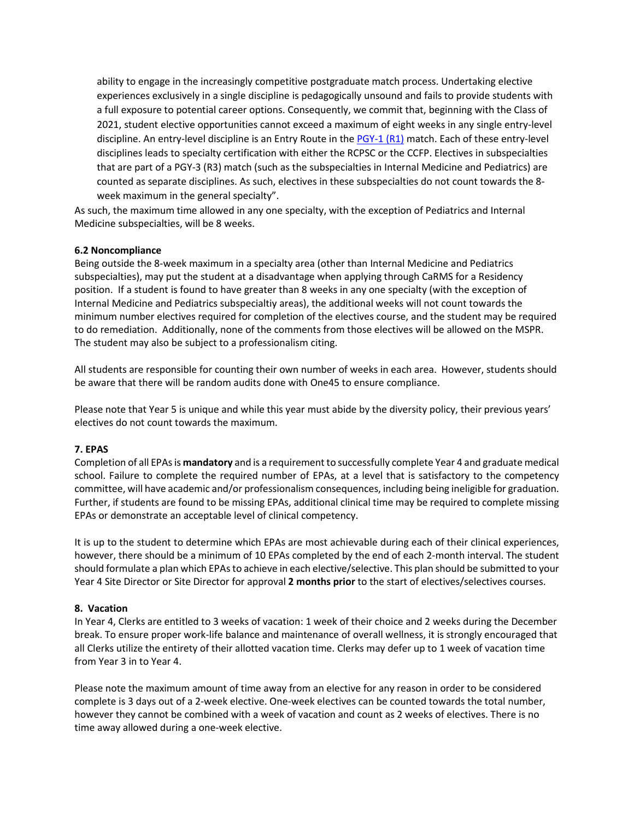ability to engage in the increasingly competitive postgraduate match process. Undertaking elective experiences exclusively in a single discipline is pedagogically unsound and fails to provide students with a full exposure to potential career options. Consequently, we commit that, beginning with the Class of 2021, student elective opportunities cannot exceed a maximum of eight weeks in any single entry-level discipline. An entry-level discipline is an Entry Route in th[e PGY-1 \(R1\)](https://afmc.ca/sites/default/files/30%20Entry%20Routes.pdf) match. Each of these entry-level disciplines leads to specialty certification with either the RCPSC or the CCFP. Electives in subspecialties that are part of a PGY-3 (R3) match (such as the subspecialties in Internal Medicine and Pediatrics) are counted as separate disciplines. As such, electives in these subspecialties do not count towards the 8 week maximum in the general specialty".

As such, the maximum time allowed in any one specialty, with the exception of Pediatrics and Internal Medicine subspecialties, will be 8 weeks.

### **6.2 Noncompliance**

Being outside the 8-week maximum in a specialty area (other than Internal Medicine and Pediatrics subspecialties), may put the student at a disadvantage when applying through CaRMS for a Residency position. If a student is found to have greater than 8 weeks in any one specialty (with the exception of Internal Medicine and Pediatrics subspecialtiy areas), the additional weeks will not count towards the minimum number electives required for completion of the electives course, and the student may be required to do remediation. Additionally, none of the comments from those electives will be allowed on the MSPR. The student may also be subject to a professionalism citing.

All students are responsible for counting their own number of weeks in each area. However, students should be aware that there will be random audits done with One45 to ensure compliance.

Please note that Year 5 is unique and while this year must abide by the diversity policy, their previous years' electives do not count towards the maximum.

### **7. EPAS**

Completion of all EPAs is **mandatory** and is a requirement to successfully complete Year 4 and graduate medical school. Failure to complete the required number of EPAs, at a level that is satisfactory to the competency committee, will have academic and/or professionalism consequences, including being ineligible for graduation. Further, if students are found to be missing EPAs, additional clinical time may be required to complete missing EPAs or demonstrate an acceptable level of clinical competency.

It is up to the student to determine which EPAs are most achievable during each of their clinical experiences, however, there should be a minimum of 10 EPAs completed by the end of each 2-month interval. The student should formulate a plan which EPAs to achieve in each elective/selective. This plan should be submitted to your Year 4 Site Director or Site Director for approval **2 months prior** to the start of electives/selectives courses.

### **8. Vacation**

In Year 4, Clerks are entitled to 3 weeks of vacation: 1 week of their choice and 2 weeks during the December break. To ensure proper work-life balance and maintenance of overall wellness, it is strongly encouraged that all Clerks utilize the entirety of their allotted vacation time. Clerks may defer up to 1 week of vacation time from Year 3 in to Year 4.

Please note the maximum amount of time away from an elective for any reason in order to be considered complete is 3 days out of a 2-week elective. One-week electives can be counted towards the total number, however they cannot be combined with a week of vacation and count as 2 weeks of electives. There is no time away allowed during a one-week elective.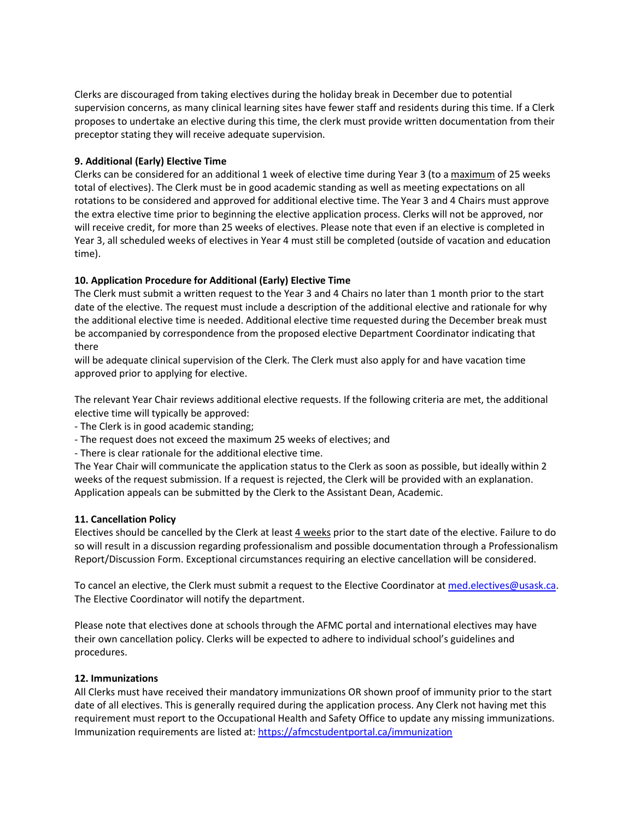Clerks are discouraged from taking electives during the holiday break in December due to potential supervision concerns, as many clinical learning sites have fewer staff and residents during this time. If a Clerk proposes to undertake an elective during this time, the clerk must provide written documentation from their preceptor stating they will receive adequate supervision.

## **9. Additional (Early) Elective Time**

Clerks can be considered for an additional 1 week of elective time during Year 3 (to a maximum of 25 weeks total of electives). The Clerk must be in good academic standing as well as meeting expectations on all rotations to be considered and approved for additional elective time. The Year 3 and 4 Chairs must approve the extra elective time prior to beginning the elective application process. Clerks will not be approved, nor will receive credit, for more than 25 weeks of electives. Please note that even if an elective is completed in Year 3, all scheduled weeks of electives in Year 4 must still be completed (outside of vacation and education time).

## **10. Application Procedure for Additional (Early) Elective Time**

The Clerk must submit a written request to the Year 3 and 4 Chairs no later than 1 month prior to the start date of the elective. The request must include a description of the additional elective and rationale for why the additional elective time is needed. Additional elective time requested during the December break must be accompanied by correspondence from the proposed elective Department Coordinator indicating that there

will be adequate clinical supervision of the Clerk. The Clerk must also apply for and have vacation time approved prior to applying for elective.

The relevant Year Chair reviews additional elective requests. If the following criteria are met, the additional elective time will typically be approved:

- The Clerk is in good academic standing;
- The request does not exceed the maximum 25 weeks of electives; and
- There is clear rationale for the additional elective time.

The Year Chair will communicate the application status to the Clerk as soon as possible, but ideally within 2 weeks of the request submission. If a request is rejected, the Clerk will be provided with an explanation. Application appeals can be submitted by the Clerk to the Assistant Dean, Academic.

### **11. Cancellation Policy**

Electives should be cancelled by the Clerk at least 4 weeks prior to the start date of the elective. Failure to do so will result in a discussion regarding professionalism and possible documentation through a Professionalism Report/Discussion Form. Exceptional circumstances requiring an elective cancellation will be considered.

To cancel an elective, the Clerk must submit a request to the Elective Coordinator at med.electives@usask.ca. The Elective Coordinator will notify the department.

Please note that electives done at schools through the AFMC portal and international electives may have their own cancellation policy. Clerks will be expected to adhere to individual school's guidelines and procedures.

### **12. Immunizations**

All Clerks must have received their mandatory immunizations OR shown proof of immunity prior to the start date of all electives. This is generally required during the application process. Any Clerk not having met this requirement must report to the Occupational Health and Safety Office to update any missing immunizations. Immunization requirements are listed at: https://afmcstudentportal.ca/immunization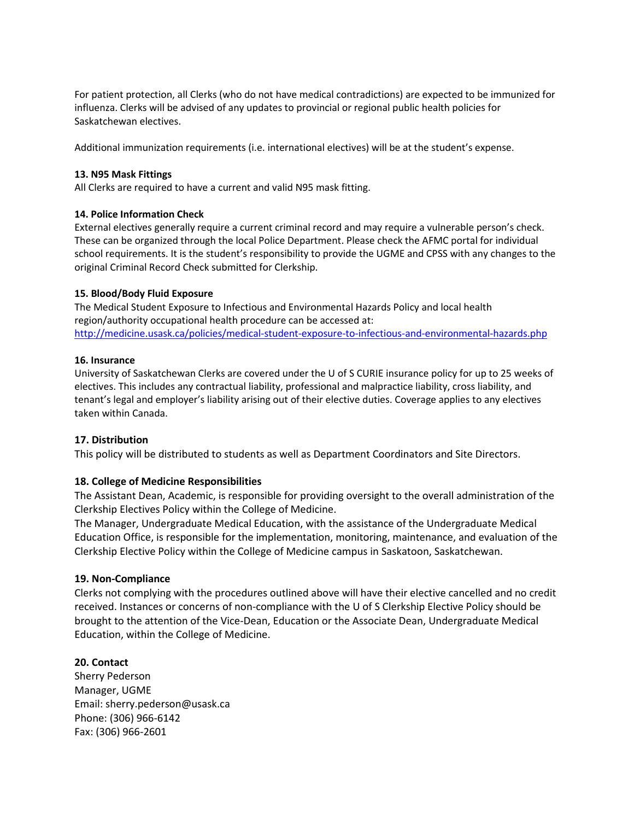For patient protection, all Clerks (who do not have medical contradictions) are expected to be immunized for influenza. Clerks will be advised of any updates to provincial or regional public health policies for Saskatchewan electives.

Additional immunization requirements (i.e. international electives) will be at the student's expense.

### **13. N95 Mask Fittings**

All Clerks are required to have a current and valid N95 mask fitting.

## **14. Police Information Check**

External electives generally require a current criminal record and may require a vulnerable person's check. These can be organized through the local Police Department. Please check the AFMC portal for individual school requirements. It is the student's responsibility to provide the UGME and CPSS with any changes to the original Criminal Record Check submitted for Clerkship.

## **15. Blood/Body Fluid Exposure**

The Medical Student Exposure to Infectious and Environmental Hazards Policy and local health region/authority occupational health procedure can be accessed at: http://medicine.usask.ca/policies/medical-student-exposure-to-infectious-and-environmental-hazards.php

### **16. Insurance**

University of Saskatchewan Clerks are covered under the U of S CURIE insurance policy for up to 25 weeks of electives. This includes any contractual liability, professional and malpractice liability, cross liability, and tenant's legal and employer's liability arising out of their elective duties. Coverage applies to any electives taken within Canada.

## **17. Distribution**

This policy will be distributed to students as well as Department Coordinators and Site Directors.

## **18. College of Medicine Responsibilities**

The Assistant Dean, Academic, is responsible for providing oversight to the overall administration of the Clerkship Electives Policy within the College of Medicine.

The Manager, Undergraduate Medical Education, with the assistance of the Undergraduate Medical Education Office, is responsible for the implementation, monitoring, maintenance, and evaluation of the Clerkship Elective Policy within the College of Medicine campus in Saskatoon, Saskatchewan.

## **19. Non-Compliance**

Clerks not complying with the procedures outlined above will have their elective cancelled and no credit received. Instances or concerns of non-compliance with the U of S Clerkship Elective Policy should be brought to the attention of the Vice-Dean, Education or the Associate Dean, Undergraduate Medical Education, within the College of Medicine.

## **20. Contact**

Sherry Pederson Manager, UGME Email: sherry.pederson@usask.ca Phone: (306) 966-6142 Fax: (306) 966-2601